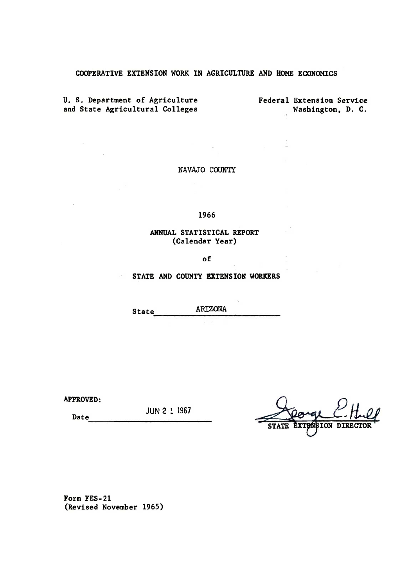## COOPERATIVE EXTENSION WORK IN AGRICULTURE AND HOME ECONOMICS

U. S. Department of Agriculture and State Agri�ultural Colleges Federal Extension Service ,Washington, D. C.

 $\sim 10^7$ 

 $\sim$  1

NAVAJO COUNTY

 $\sim$ 

1966

## ANNUAL STATISTICAL REPORT (Calendar Year)

of

STATE AND COUNTY EXTENSION WORKERS

State----------------�------- ARIZONA

APPROVED:

 $\mathcal{L}_{\mathcal{A}}$ 

 $\overline{a}$ 

Date ------------------------ JUN 2 1 1967

ION DI

Form FES-2l (Revised November 1965)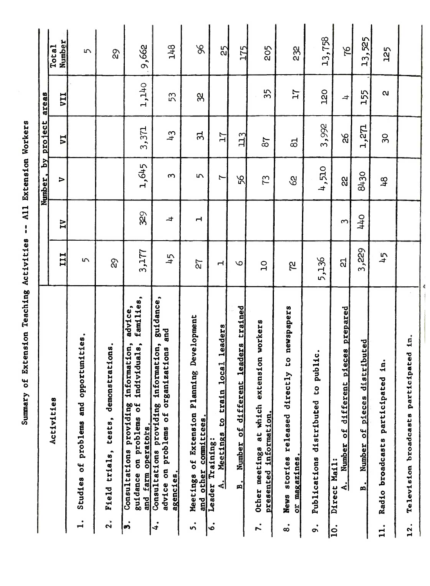| י |  |
|---|--|
|   |  |
|   |  |
|   |  |
|   |  |
|   |  |
|   |  |
|   |  |
|   |  |
|   |  |
|   |  |
|   |  |
|   |  |
|   |  |
|   |  |
|   |  |
|   |  |
|   |  |
|   |  |
|   |  |
|   |  |
|   |  |
|   |  |

|                                                                                                                                             |                |                         | Number, by project          |                 | areas             |                             |
|---------------------------------------------------------------------------------------------------------------------------------------------|----------------|-------------------------|-----------------------------|-----------------|-------------------|-----------------------------|
| Activities                                                                                                                                  | III            | $\overline{\mathbf{I}}$ | ⋝                           | $\overline{L}A$ | <b>IIA</b>        | Number<br>Total             |
| Studies of problems and opportunities.<br>$\mathbf{I}$                                                                                      | 5              |                         |                             |                 |                   | 5                           |
| Field trials, tests, demonstrations.<br>$\mathbf{2}$                                                                                        | 8              |                         |                             |                 |                   | $\mathcal{S}^{\mathcal{S}}$ |
| families,<br>advice,<br>information,<br>individuals,<br>Consultations providing<br>guidance on problems of<br>operators<br>farm<br>and<br>ń | 3,177          | 329                     | 1,645                       | 3,371           | 1,140             | 9,662                       |
| guidance,<br>and<br>Consultations providing information,<br>advice on problems of organizations<br>agencies.<br>4.                          | 45             | $\overline{a}$          | $\infty$                    | $\frac{1}{2}$   | 53                | 148                         |
| Development<br>Meetings of Extension Planning<br>other committees.<br>$\frac{d}{dt}$<br>ທໍ                                                  | 72             | ᅥ                       | $\sqrt{2}$                  | ನ               | $\infty$          | $\%$                        |
| Meetings to train local leaders<br>Leader Training:<br>انه<br>.<br>ف                                                                        | Н              |                         | Ľ                           | 17              |                   | 25                          |
| leaders trained<br>Number of different<br>$\mathbf{B}$ .                                                                                    | $\circ$        |                         | 56                          | 113             |                   | 175                         |
| sion workers<br>Other meetings at which exten<br>presented information.<br>$\ddot{\mathbf{r}}$ .                                            | $\overline{C}$ |                         | 73                          | 87              | 35                | 205                         |
| newspapers<br>CO<br>Ķ<br>News stories released directl<br>or magazines.<br>$\dot{\circ}$                                                    | <b>Z</b>       |                         | $\mathcal{S}^{\mathcal{S}}$ | යි              | 17                | 232                         |
| ublic.<br>Publications distributed to p<br>$\ddot{\circ}$                                                                                   | 5,136          |                         | 4,510                       | 3,992           | <b>20</b>         | 13,758                      |
| pieces prepared<br>Number of different<br>Direct Mail:<br>ا<br>ام<br>$\overline{10}$ .                                                      | ದ              | $\infty$                | 22                          | 9S              | $\pm$             | $\overline{21}$             |
| tributed<br>Number of pieces dis<br>$\mathbf{B}$ .                                                                                          | 3,229          | <b>0trt</b>             | 8430                        | 1,271           | 155               | 13,525                      |
| in.<br>Radio broadcasts participated<br>11.                                                                                                 | 45             |                         | $\frac{8}{2}$               | $\overline{3}$  | $\mathbf{\alpha}$ | 125                         |
| in.<br>Television broadcasts participated<br>$\bullet$<br>12                                                                                |                |                         |                             |                 |                   |                             |
|                                                                                                                                             |                |                         |                             |                 |                   |                             |
|                                                                                                                                             |                |                         |                             |                 |                   |                             |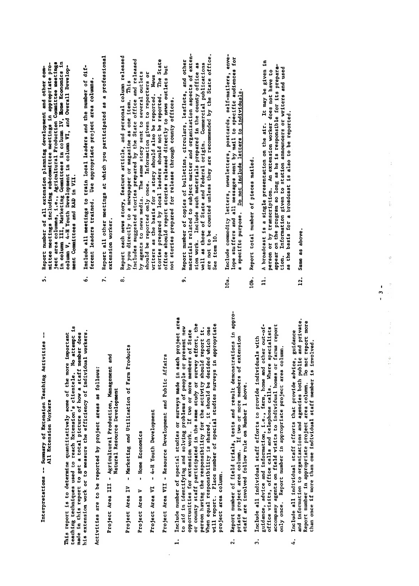Interpretations -- Summary of Extension Teaching Activities --All Extension Workers

teaching techniques used to reach Extension's clientele. No attempt is<br>made in this report to get a total picture of how a staff member does his extension work or to measure the efficiency of individual workers. This report is to determine quantitatively some of the more important

Activities are to be reported by project areas as follows:

- Project Area III Agricultural Production, Management and Natural Resource Development
- Project Area IV Marketing and Utilization of Farm Products
- Home Economics Project Area V
- Project Area VI 4-H Youth Development

Project Area VII - Resource Development and Public Affairs

- $\frac{1}{\alpha}$ or county staff participated in the same study or survey effort, the will report. Place number of special studies surveys in appropriate to aid in identifying and solving problems of people or present new person having the responsibility for the activity should report it.<br>When equal responsibility is shared, it should be decided which one opportunities for extension work. If two or more members of State project area column.  $\overline{a}$ 
	- Report number of field trials, tests and result demonstrations in appro-<br>priate project area column. If two or more members of extension staff are involved follow rule on Number 1 above.  $\overline{2}$ .
- accompany agents on field visits to individual homes or farms report guidance, advice and information, i.e., farm, home and other out-ofoffice visits, office calls and telephone calls. Where specialists Include all individual staff efforts to provide individuals with only once. Report number in appropriate project area column.  $\ddot{ }$
- Include all individual staff efforts that provide advice, guidance<br>and information to organizations and agencies both public and private. Report number in appropriate project area column. Do not report more than once if more than one individual staff member is involved. 4.
- Project Area<br>Project Area<br>Project Area 97° 64 9 project area columns are 5.
	-
- 
- The reportant to determine the more important<br>determine does not the more in the more in this report is a total picture of the more in this report is a staf<br>does no attention is report to get a total picture of the member his extension workers of the efficiency of individual workers. The efficiency of individual workers in the eff activities are to be reported by project and areas as follows: Agricultural Production, Management and Management and Management and Management and Management and Management Natural Resource Development and a Marketing and Utilization of Products and Utilization of Products and Products and Products and Products and P<br>In Products and Products and Products and Products and Products and Products and Products and Products and Pro Project Area V - Home Economics Project Area VI - 4-H Youth Development Development Project Area VI - 4-H Youth Development Development Develo Project Area VII - Resource Development and Public Affairs and Public Affairs and Public Affairs and Public Af<br>Public Affairs Affairs and Public Affairs and Public Affairs and Public Affairs and Public Affairs and Public 1. Include 1. Include 1989, Include 1989, Include 1989, Include 1989, Include 1989, Include 1989, Include 1989<br>Include 1989, Include 1989, Include 1989, Include 1989, Include 1989, Include 1989, Include 1989, Include 1989 to and in the solving people of people people or problems of people or problems of people or problems or problems o opportunities for extension work. It is a second work of the second work. It is a second work of the second wo<br>In the second work of States of States of States of States of States of States of States of States of States o or county stated in the same stated in the same stated in the same study of the same study of the survey of th<br>The same study of the same study of the same study of the same study of the same study of the same study of th person have responsibility for the activity of the activity of the activity should report it. When when the decided which is shown that the decided which which which which which one of the decident which <br>The decident which one of the decided which one of the decident which one of the decident which we decide whic with report of special studies surveys in a propriate survey in a propriet  $\frac{1}{2}$  and  $\frac{1}{2}$  and  $\frac{1}{2}$ 2. Report number of field trials, tests and result demonstrations in approximation of the main section of the <br>Result demonstrations in a pro- $\frac{1}{2}$  area columns of extension area columns of extension of  $\frac{1}{2}$  and  $\frac{1}{2}$  or  $\frac{1}{2}$  are more members of  $\frac{1}{2}$  and  $\frac{1}{2}$  are more members of  $\frac{1}{2}$  and  $\frac{1}{2}$  are more members of  $\frac{1}{2}$  a  $\texttt{S}$   $\texttt{F}$   $\texttt{s}$   $\texttt{F}$  and  $\texttt{s}$   $\texttt{F}$  above. The  $\texttt{s}$  is  $\texttt{F}$ 3. Include all include all include all individual states to provide individual states with the providence individual states with the providence of the providence of the providence of the providence of the providence of the pedance, advice and information, i.e., farm, home and other out-of-out-of-or-other out-of-or-other out-of-or-o office visits, office calls and the specialists of the calls. Where  $\alpha$ accompany agents on field visits to individual homes or farms report
- only once. Report number in appropriate project area column.
	-
- 
- as the basis for a broadcast is also to be reported.
- lOa. Include commodity letters, newsletters, postcards, self-mailers, enve- $12.$

stories prepared by local leaders should not be reported. The State of  $\mathbb{R}^n$ 

well as the State and Federal origin. Commercial publications of  $\mathcal{L}_1$  $\mathbf{a}_r$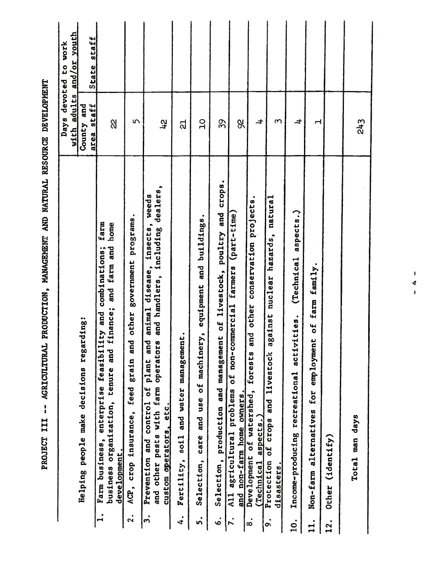|                |                                                                                                                                                                                     | devoted<br>with adults<br>Day <sub>s</sub> | and/or youth<br>to work |
|----------------|-------------------------------------------------------------------------------------------------------------------------------------------------------------------------------------|--------------------------------------------|-------------------------|
|                | Helping people make decisions regarding:                                                                                                                                            | and<br>County                              |                         |
| $\mathbf{a}$   | farm<br>business organization, tenure and finance; and farm and home<br>and combinations;<br>enterprise feasibility<br>Farm business,                                               | area staff                                 | State staff             |
|                | development                                                                                                                                                                         | $\alpha$                                   |                         |
| $\mathbf{S}$   | government programs.<br>other<br>grain and<br>feed<br>insurance,<br>ACP, Crop                                                                                                       | 5                                          |                         |
| 3.             | dealers,<br>weeds<br>animal disease, insects,<br>and handlers, including<br>Prevention and control of plant and<br>other pests with farm operators<br>custom operators, etc.<br>and | 겫                                          |                         |
| 4.             | Fertility, soil and water management.                                                                                                                                               | ನ                                          |                         |
| ທ່             | Selection, care and use of machinery, equipment and buildings.                                                                                                                      | $\overline{10}$                            |                         |
| $\dot{\circ}$  | Selection, production and management of livestock, poultry and crops.                                                                                                               | 39                                         |                         |
| $\mathbf{r}$ . | All agricultural problems of non-commercial farmers (part-time)<br>and non-farm home owners.                                                                                        | 89                                         |                         |
| œ.             | and other conservation projects.<br>forests<br>Development of watershed,<br>aspects.)<br>(Technical                                                                                 | 4                                          |                         |
| $\ddot{\circ}$ | against nuclear hazards, natural<br>and livestock<br>Protection of crops<br>$_{\rm dissers.}$                                                                                       | $\mathfrak{m}$                             |                         |
| 10.            | aspects.)<br>(Technical<br>activities.<br>Income-producing recreational                                                                                                             | 4                                          |                         |
| 11.            | family.<br>farm<br>$\overline{\mathbf{a}}$<br>employment<br>for<br>Non-farm alternatives                                                                                            | $\mathbf{\mathbf{r}}$                      |                         |
| 12.            | Other (identify)                                                                                                                                                                    |                                            |                         |
|                | Total man days                                                                                                                                                                      | 243                                        |                         |
|                |                                                                                                                                                                                     |                                            |                         |
|                | п<br>4<br>$\mathbf{I}$                                                                                                                                                              |                                            |                         |
|                |                                                                                                                                                                                     |                                            |                         |
|                |                                                                                                                                                                                     |                                            |                         |
|                |                                                                                                                                                                                     |                                            |                         |
|                |                                                                                                                                                                                     |                                            |                         |

PROJECT III -- AGRICULTURAL PRODUCTION, MANAGEMENT AND NATURAL RESOURCE DEVELOPMENT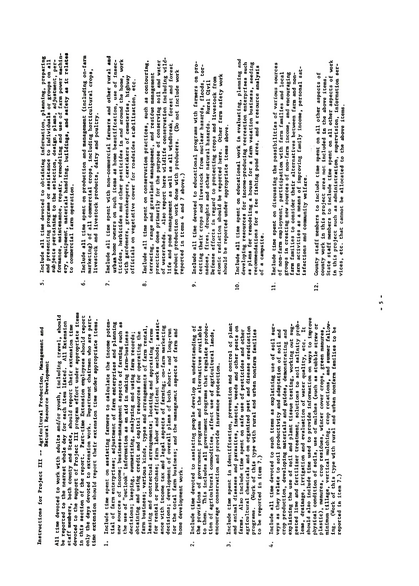Instructions for Project III -- Agricultural Production, Management and Natural Resource Development  $\mathbf{r}$  information on ways to improve the soils, use of mulches (such as studies of mulches (such as stubble straw or  $\mathbf{r}$ )

- el, shoul,<br>con time<br>con time<br>trate items<br>is packing potentially are potent<br>plauch as get in the second times<br>is assistently farmed.<br>farmed,<br>is assistently farmed.<br>is assistently farmed.<br>is assistently farmed.<br>the condition nome development work.  $\ddot{ }$ 
	- encourage conservation and provide insurance protection.  $\ddot{2}$ .
- to be reported in item 7.)  $\ddot{ }$
- $\frac{1}{2}$ . County stateful members to include time spent on all other aspects of all other aspects of all other aspects of all other aspects of all other aspects of all other aspects of all other aspects of all other aspe explaining the use of soil and plant tissue testing, working out sug-<br>gested lime and fertilizer treatment, solutions to soil salinity prob- $\ddot{c}$  is project area not included in the above items. lems, drainage, irrigation and evaluation of water quality, etc. It  $\begin{array}{c} \texttt{s} \texttt{s} \texttt{s} \texttt{s} \texttt{s} \texttt{d} \texttt{d} \texttt{d} \texttt{d} \texttt{d} \texttt{d} \texttt{d} \texttt{d} \texttt{d} \texttt{d} \texttt{d} \texttt{d} \texttt{d} \texttt{d} \texttt{d} \texttt{d} \texttt{d} \texttt{d} \texttt{d} \texttt{d} \texttt{d} \texttt{d} \texttt{d} \texttt{d} \texttt{d} \texttt{d} \texttt{d} \texttt{d} \texttt{d} \texttt{d} \texttt{d} \text$ veys as they relate to soil productivity and adaptation of soil and crop production, developing materials and guides, demonstrating and  $\begin{bmatrix} a & b \\ c & d \end{bmatrix}$  $v_i = v_i$ reported in item 7.)  $\ddot{ }$
- and presenting programs or assistance to individuals or groups on all<br>subjects pertaining to the selection, design, plans, adjustment, per-<br>formance, maintenance, repair, remodeling and use of farm power machin-<br>to squiper
	-
- with gardeners, greenskeepers, caretakers of cemeteries, highway<br>officials on vegetative cover for roadsides stabilization, etc.
- all time devoted to work with a great with a great with a great with a great with a great with a great with a <br>History of the should travel to great with a great with a great with a great with a great with a great with a be reported to the nearest whole day is a control of the international control of the international control to<br>The nearest whole day is a control of the international control to the international control to the internatio staff members, both county and State, should report the State, should report the State of the State of the Sta<br>State of the State of the State of the State of the State of the State of the State of the State of the State devoted to the support of Project III program effort of Project III project III program effort under a late it<br>Devoted to the support of Project III program effort under a late in the support of the support of the support e report. Parties of the report of the report of the report of the report of the report of the report of the r<br>Part-time Extension employees should report the report of the report of the report of the report of the report only the days devoted the devoted to extension who are parttime extension should report the should report the second report of the second the second temperature in the s<br>Extension of the second state in the second temperature in the second in the second temperature in the second 1. Include the spent of a spent of the income potential to calculate the income potential the income potential<br>The income potential farmers to calculate the income potential the income potential income potential the income tial of farm enterprises and planning of farmers and planning and planning and planning and planning and plann<br>The planning of farmers and planning and planning and planning and planning and planning and planning and plan new sources of income such as a spectrum aspects of farming such as a such as a spectrum and farming such as a<br>Health as a such as a such as a spectrum and farming such as a such as a such a such as a such as a such as a the use of the use of the use of the use of the use of the use of the use of the use of the use of the use of t  $\epsilon$ ng gel generalyzing and using an analyzing farm records; and using  $\epsilon$   $\epsilon$   $\epsilon$   $\epsilon$   $\epsilon$   $\epsilon$ obtaining and using credit and capital resources for operations for operations for operations for operations f  $\frac{1}{2}$ arm business; various kinds, types and arrangements of  $\frac{1}{2}$ leasing and contractual arrangements; location and appropriate and appropriate and appropriate and appropriate  $\frac{1}{2}$ for  $\frac{1}{2}$  rental or purchase; and efficient work methods; assisted work methods; assisted work methods; assisted work methods; and  $\frac{1}{2}$  and  $\frac{1}{2}$  and  $\frac{1}{2}$  and  $\frac{1}{2}$  and  $\frac{1}{2}$  and  $\frac{1}{2$  $\bar{a}$ ance with income tax and legal aspects of farming; on-farming;  $\bar{a}$ decisions; development of the overall plans of the both short- and long-running and longfor the total farm business; and the managerial the managerial the managerial the managerial the managerial th 2. Include time devoted to assisting people develop an understanding of the provincial provisions of government provincial provisions and the alternatives are alternatives and the al  $\frac{1}{2}$  the measure of the measure produces a line produce  $\frac{1}{2}$   $\frac{1}{2}$   $\frac{1}{2}$   $\frac{1}{2}$   $\frac{1}{2}$   $\frac{1}{2}$   $\frac{1}{2}$   $\frac{1}{2}$   $\frac{1}{2}$   $\frac{1}{2}$   $\frac{1}{2}$   $\frac{1}{2}$   $\frac{1}{2}$   $\frac{1}{2}$   $\frac{1}{2}$   $\frac{1}{2}$  tion of agricultural commodities, and agricultural commodities, and all lands of a gricultural lands, and a gr encourage conservation and provide insurance protection and provide insurance protection. 3. Include the spent is included the spent in the spent in the spent in the control of plants of plants of pla<br>Separate the control of plants of plants in the plants of plants of plants of plants of plants of plants of pl and and animal diseases and parasites are perfected and perfect and perfect and other perfects, and other perf farms. Also include time spent on safe use of personal on safe use of personal on safe use of personal time sp agricultural chemicals and on organized pest and discussed per and organized per programs. (Working of this type with rural and urban non-families with rural and urban non-families of the sec 1<br>14449 All time devoted to such items as the sur- $\begin{array}{ccc} \circ & \circ & \circ & \circ & \circ \end{array}$

explaining the use of soil and plant tissue testing, working out sug-

- crop production, developing materials and guides; demonstrating and
- 
- groups in creating new sources of non-farm income, and encouraging of non-farm employment, participation with farm families and local farm families to consider their alternatives between farm and non- $\mathbf{1}$
- formance, maintenance, repair, remodeling and use of farm power machin- $\frac{1}{2}$ ery, and safety a $\frac{1}{2}$ to commercial farm operation.  $\begin{array}{c} 6.6666 & 0.76666 \\ 0.7666 & 0.766666 \\ 0.7666 & 0.7666666 \\ \hline \end{array}$  $\frac{1}{2}$  commercial commercial crops, including horizontal crops, including horizontal crops, including horizontal crops,  $\frac{1}{2}$ livestock and livestock products. dairy and poultry.  $\frac{1}{2}$  include a large spent with non-commercial farmers and other rules and other rules and other rules and other rules and other rules and other rules and other rules and other rules and other rules and other rules a  $\mathbf{u}$  is defined by a home beautification, use of insection, use of insection, use of insec- $\overline{a}$ ticides and other pesticides in and around the home, working the home, working the home, working the home, working the home, working the home, working the home, working the home, working the home, working the home  $\Xi$ greenskeepers, caretakers of cemeteries, highways of cemeteries, highways of cemeteries, highways of cemeteries,  $\Xi$  $\frac{d}{dt}$  on vegetative cover for  $\frac{d}{dt}$  $\frac{1}{2}$  include all time spent on conservation problems on contouring, such as contouring, such as contouring,  $\frac{1}{2}$  $t^2$  range and grassland management,  $t^2$  range management,  $t^2$  range management,  $t^2$  $\frac{1}{2}$  and  $\frac{1}{2}$  and  $\frac{1}{2}$  and water of conserving solid and water of conserving solid and water of conserving solid and water of conserving solid and water of conserving solid and water of conserving solid and  $\frac{1}{2}$  watersheds. Also report here wildlife and pond management as well as all windbreak, forest and forest product production work done with producers. (Do not include work  $\frac{d}{dt}$  and  $\frac{d}{dt}$  and  $\frac{d}{dt}$  and  $\frac{d}{dt}$  $\overline{9}$  and the educational proposition  $\overline{9}$  and  $\overline{9}$  and probability  $\overline{9}$  and pro- $\frac{1}{2}$  the crops and livestock from nuclear hazards, floods, tor- $\sum_{i=1}^{n} a_i$  and other natural hazards. Rural civilization and other natural  $\sum_{i=1}^{n} a_i$  and  $\sum_{i=1}^{n} a_i$  $\overline{B}$  and  $\overline{B}$  regard to protecting crops and livestock from  $\overline{B}$  $\alpha$  radiation should be reported here. Other farm safety works are  $\alpha$  $\frac{1}{2}$  final behavior in the reported under appropriate items above.  $10.$  Include all time spent on evaluation  $\frac{1}{2}$  and  $\frac{1}{2}$  evaluation  $\frac{1}{2}$  evaluation  $\frac{1}{2}$  and  $\frac{1}{2}$  evaluation  $\frac{1}{2}$  evaluation  $\frac{1}{2}$  and  $\frac{1}{2}$  evaluation  $\frac{1}{2}$  evaluation  $\frac{1}{2}$   $\ddot{a}$  resources for income-producing recreation enterprises such as  $\ddot{b}$  $\frac{1}{2}$ s plans for a farm vacation business, seeding a farm vacation business, seeding  $\frac{1}{2}$  $R^2$ recommendations for a fee fishing pond area, and a resource analysis  $\frac{1}{2}$ e camps and a camps of a camps of a camps of a camps of a camps of a camp of a camp of a camp of a camp of a c<br>E camp of a camp of a camp of a camp of a camp of a camp of a camp of a camp of a camp of a camp of a camp of <br>  $1 + 1$ . In consider the possibilities of various sources of various sources of various sources of various sources of non-farm employment, participation with families and local  $\alpha$  $\mathbf{r}$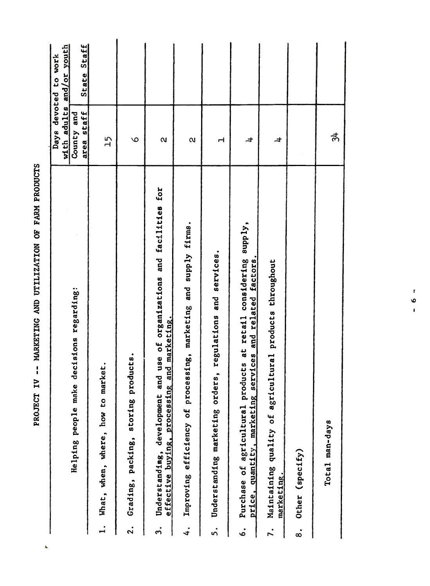| h,                  |                                                                                                                                |                                            |                             |
|---------------------|--------------------------------------------------------------------------------------------------------------------------------|--------------------------------------------|-----------------------------|
|                     |                                                                                                                                | devoted<br>Days                            | to work                     |
|                     | Helping people make decisions regarding:                                                                                       | adults<br>County and<br>area staff<br>with | and/or youth<br>State Staff |
| $\mathbf{L}$        | market.<br>What, when, where, how to                                                                                           | 15                                         |                             |
| $\ddot{\textbf{r}}$ | products.<br>storing<br>Grading, packing,                                                                                      | $\circ$                                    |                             |
| $\ddot{ }$          | and use of organizations and facilities for<br>effective buying, processing and marketing.<br>development<br>Understanding,    | $\mathbf{\alpha}$                          |                             |
| 4.                  | supply firms.<br>marketing and<br>processing,<br>Improving efficiency of                                                       | $\alpha$                                   |                             |
| 5.                  | regulations and services.<br>orders,<br>Understanding marketing                                                                | H                                          |                             |
| .<br>ه              | Purchase of agricultural products at retail considering supply,<br>services and related factors.<br>price, quantity, marketing | $\pm$                                      |                             |
| $\mathbf{r}$        | agricultural products throughout<br>Maintaining quality of<br>marketing.                                                       | $\overline{a}$                             |                             |
| $\dot{\infty}$      | Other (specify)                                                                                                                |                                            |                             |
|                     | Total man-days                                                                                                                 | $\vec{a}$                                  |                             |
|                     |                                                                                                                                |                                            |                             |
|                     |                                                                                                                                |                                            |                             |
|                     | r<br>$\circ$<br>ı                                                                                                              |                                            |                             |
|                     |                                                                                                                                |                                            |                             |
|                     |                                                                                                                                |                                            |                             |

PROJECT IV -- MARKETING AND UTILIZATION OF FARM PRODUCTS

## PROJECT IV -- MARKETING AND UTILIZATION OF FARM PRODUCTS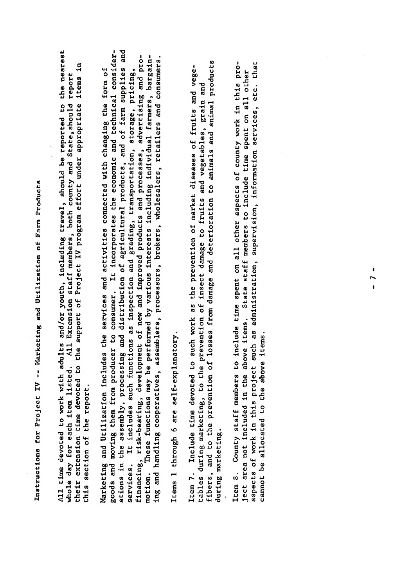Instructions for Project IV -- Marketing and Utilization of Farm Products

All time devoted to work with adults and/or youth, including travel, should be reported to the nearest their extension time devoted to the support of Project IV program effort under appropriate items in whole day for each item listed. All Extension staff members, both county and State, should report this section of the report.

All time devoted to work with adults and/Qr youth, including travel, should be reported to the nearest whole day for each item listed. , All Extension states are possible members, and State, should report and Stat<br>Hole and State, should report and State, should report and State, should report and State, should report and S the support of Project IV, project IV, project IV, project IV, project IV, project IV, project IV, project IV,<br>In the support under a project IV, project IV, project IV, project IV, project IV, project IV, project IV, pro  $\begin{bmatrix} 5 & 0 & 0 & 0 & 0 \\ 0 & 0 & 0 & 0 & 0 \\ 0 & 0 & 0 & 0 & 0 \\ 0 & 0 & 0 & 0 & 0 \\ 0 & 0 & 0 & 0 & 0 \\ 0 & 0 & 0 & 0 & 0 \\ 0 & 0 & 0 & 0 & 0 \\ 0 & 0 & 0 & 0 & 0 \\ 0 & 0 & 0 & 0 & 0 \\ 0 & 0 & 0 & 0 & 0 \\ 0 & 0 & 0 & 0 & 0 \\ 0 & 0 & 0 & 0 & 0 \\ 0 & 0 & 0 & 0 & 0 \\ 0 & 0 & 0 & 0 & 0 \\ 0 &$  $\mathbf{d}$  and  $\mathbf{d}$  and activities and activities connected with changing  $\mathbf{d}$  and  $\mathbf{d}$  form of  $\mathbf{d}$ goods and moving them from producer to consumer. It incorporates the economic and technical considerations in the assembly, processing and distribution of agricultural products, and of farm supplies and services. It includes such functions as inspection and grading, transportation, storage, pricing, financing, risk-bearing, development of new and improved products and processes, advertising and promotion. These functions may be performed by various interests in the performance of the performance individual<br>The performance in the performance individual farmers, bargaining and handling cooperatives, assemblers, processors, brokers, wholesalers, retailers and consumers.  $\frac{1}{2}$   $\frac{1}{2}$   $\frac{1}{2}$   $\frac{1}{2}$   $\frac{1}{2}$   $\frac{1}{2}$   $\frac{1}{2}$   $\frac{1}{2}$   $\frac{1}{2}$   $\frac{1}{2}$   $\frac{1}{2}$   $\frac{1}{2}$   $\frac{1}{2}$   $\frac{1}{2}$   $\frac{1}{2}$   $\frac{1}{2}$   $\frac{1}{2}$   $\frac{1}{2}$   $\frac{1}{2}$   $\frac{1}{2}$   $\frac{1}{2}$   $\frac{1}{2}$  Item 7. Include time devoted to such work as the prevention of market diseases of fruits and vege- $\begin{array}{lllllll} \texttt{if} & \texttt{if} & \texttt{if} & \texttt{if} & \texttt{if} & \texttt{if} & \texttt{if} & \texttt{if} & \texttt{if} & \texttt{if} & \texttt{if} & \texttt{if} & \texttt{if} & \texttt{if} & \texttt{if} & \texttt{if} & \texttt{if} & \texttt{if} & \texttt{if} & \texttt{if} & \texttt{if} & \texttt{if} & \texttt{if} & \texttt{if} & \texttt{if} & \texttt{if} & \texttt{if} & \texttt{if} & \texttt{if} & \texttt{if} &$  $f(x)$  and to the prevention of losses from damage and determines  $f(x)$  and  $f(x)$  and animal products and animal products and animals and animal products and animals and animals and animals and animals and animals and anim during marketing marketing marketing marketing marketing marketing marketing marketing marketing marketing mar<br>Displayed marketing marketing marketing marketing marketing marketing marketing marketing marketing marketing Item 8. County staff members to include time spent on all other aspects of county work in this project area not included in the above items. State staff members to include time spent on all other aspects of work in this project such as administration, supervision, information services, etc. that cannot be allocated to the above it and the above it and the above it allocated to the above it allocated to t<br>Cannot be above it and the above it also it also a subsequent in the above it also it also it also it also a s motion.

Items 1 through 6 are self-explanatory.

during marketing.

ject area not included in the above items. cannot be allocated to the above items.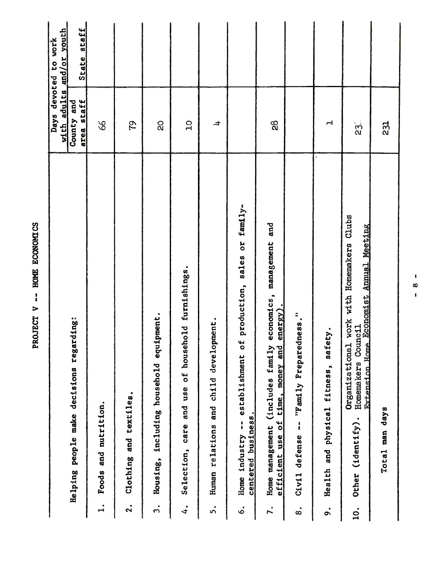|                       |                                                                                                                                 | with adults                 | and/or youth<br>Days devoted to work |
|-----------------------|---------------------------------------------------------------------------------------------------------------------------------|-----------------------------|--------------------------------------|
|                       | Helping people make decisions regarding:                                                                                        | area staff<br>and<br>County | State staff                          |
| $\mathbf{I}$          | Foods and nutrition.                                                                                                            | 8 <sup>o</sup>              |                                      |
| $\ddot{\mathbf{r}}$   | $\bullet$<br>Clothing and textiles                                                                                              | ŗδ                          |                                      |
| $\bullet$<br>S        | equipment.<br>household<br>including<br>Housing,                                                                                | $\overline{a}$              |                                      |
| 4.                    | f household furnishings.<br>$\circ$<br>care and use<br>Selection,                                                               | $\overline{a}$              |                                      |
| ທ່                    | development.<br>Human relations and child                                                                                       | $\overline{a}$              |                                      |
| $\dot{\circ}$         | establishment of production, sales or family-<br>centered business.<br>$\mathbf{I}$<br>Home industry                            |                             |                                      |
| 7.                    | economics, management and<br>energy).<br>family<br>time, money and<br>(includes<br>efficient use of<br>Home management          | 88                          |                                      |
| $\bullet$<br>$\infty$ | Preparedness."<br>"Family<br>$\mathbf{i}$<br>defense<br>Civil                                                                   |                             |                                      |
| o.                    | fitness, safety.<br>and physical<br>Health                                                                                      | $\mathbf{\mathbf{r}}$       |                                      |
| 10.                   | Organizational work with Homemakers Clubs<br>Extension Home Economist Annual Meeting<br>Homemakers Council<br>Other (identify). | $\overline{23}$ .           |                                      |
|                       | Total man days                                                                                                                  | 231                         |                                      |
|                       | ı<br>œ<br>$\mathbf{I}$                                                                                                          |                             |                                      |
|                       |                                                                                                                                 |                             |                                      |
|                       |                                                                                                                                 |                             |                                      |

PROJECT V -- HOME ECONOMICS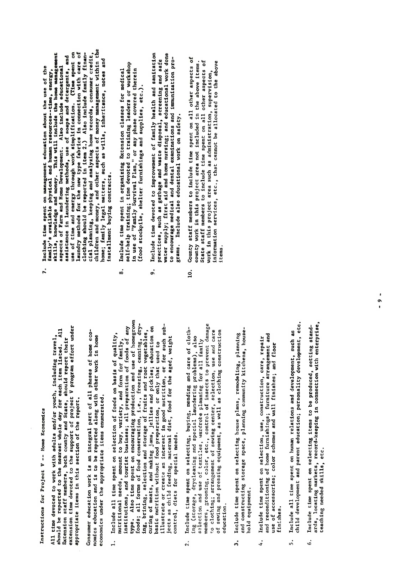Instructions for Project V -- Home Economics

All time devoted to work with adults and/or youth, including travel, Extension staff members, both county and State, should report their appropriate items in this section of the report.

nomics education and is to be reported along with other work in home economics under the appropriate items enumerated.

- ards, locating markets, record-keeping in connection with enterprise,  $\mathbf{c}$ should be reported to the nearest whole day for each item listed. All factors and steps and scales, should report their extension staff members, both county and States, should report their extension time devoted to the sup curing of meats, and making jams, jellies and pickles; education on ects as child feeding, maternal diet, food for the aged, weight basic nutrition without food preparation, or only that used to control, diets for special needs.  $\ddot{ }$ 
	- Include time spent on selecting, buying, mending and care of cloth-<br>ing (storage, drycleaning and special laundering problems), also to clothing; arrangement of sewing center, selection, use and care of sewing and pressing equipment, as well as clothing construction selection and use of textiles, wardrobe planning for all family education.  $\overline{2}$ .
- and constructing storage space, planning community kitchens, house-Include time spent on selecting house plans, remodeling, planning hold equipment.  $\ddot{a}$
- and reconditioning of home furnishings; furniture arrangement and Include time spent on selection, use, construction, care, repair use of accessories; color schemes and wall finishes; and floor finishes. 4.
- Include all time spent on human relations and development, such as<br>child development and parent education; personality development, etc. 5.
- ards, locating markets, record-keeping in connection with enterprise, Include time spent on selecting items to be produced, setting standteaching needed skills, etc. 6.
- Instructions for Project <sup>V</sup> -- Home Economics All time devoted to work with and county and the nearest whole day for the nearest whole day for each including the nearest whole day for each including the nearest whole day for each including the nearest whole day for ea extension time devoted to the support of project v project v project v project under project under the support<br>Extending to provide the support under the support under the support of the support of the support of the supp appropriate items in the report of the report of the report of the report of the report of the report of the r<br>Section of the report of the report of the report of the report of the report of the report of the report of t s an integral part of all phases of the consumer education with  $\frac{1}{2}$  and  $\frac{1}{2}$  and  $\frac{1}{2}$  and  $\frac{1}{2}$  and  $\frac{1}{2}$  and  $\frac{1}{2}$  and  $\frac{1}{2}$  and  $\frac{1}{2}$  and  $\frac{1}{2}$  and  $\frac{1}{2}$  and  $\frac{1}{2}$  and  $\frac{$ economics under the approximate items in the approximate items in the approximate items in the approximate ite<br>Second in the approximate items in the approximate items in the second in the approximate items in the approxi 1. Include all time spent on selection of foods on basis of quality,  $1 + 2$  and  $2 - 3$  and  $2 - 5$  and  $2 - 5$  and  $2 - 5$  and  $2 - 5$  and  $2 - 5$  and  $2 - 5$  and  $2 - 5$  and  $2 - 5$  and  $2 - 5$  and  $2 - 5$  and  $2 - 5$  and  $2 - 5$  and  $2 - 5$  and  $2 - 5$  and  $2 - 5$  and  $2 - 5$  and  $2 - 5$  and  $2 - 5$  and  $\frac{1}{2}$   $\frac{1}{2}$   $\frac{1}{2}$   $\frac{1}{2}$   $\frac{1}{2}$   $\frac{1}{2}$   $\frac{1}{2}$   $\frac{1}{2}$   $\frac{1}{2}$   $\frac{1}{2}$   $\frac{1}{2}$   $\frac{1}{2}$   $\frac{1}{2}$   $\frac{1}{2}$   $\frac{1}{2}$   $\frac{1}{2}$   $\frac{1}{2}$   $\frac{1}{2}$   $\frac{1}{2}$   $\frac{1}{2}$   $\frac{1}{2}$   $\frac{1}{2}$  the spent of the spent of the spent of the spent of the spent of the spent of the spent of the spent of the sp  $\vec{A}$   $\vec{B}$   $\vec{B}$   $\vec{C}$   $\vec{C}$   $\vec{C}$   $\vec{C}$   $\vec{C}$   $\vec{C}$   $\vec{C}$   $\vec{C}$   $\vec{C}$   $\vec{C}$   $\vec{C}$   $\vec{C}$   $\vec{C}$   $\vec{C}$   $\vec{C}$   $\vec{C}$   $\vec{C}$   $\vec{C}$   $\vec{C}$   $\vec{C}$   $\vec{C}$   $\vec{C}$   $\vec{C}$   $\vec{C}$   $\vec{C$ ing, bring, bring, selection and storage of fruits and root vegetables, and root vegetables, and root vegetabl<br>International product and root vegetables, and root vegetables, and root vegetables, and root vegetables, and curing of meats, and making in making in the material of the pickles; education on pickles; education on the p<br>Pickles; education on pickles; education on pickles; education on pickles; education on pickles; education on basic nutrition with the present food present to the use of the use of the use of the use of the use of the us<br>That used to the used to the used to the used to the used to the used to the used to the used to the used to t  $\begin{bmatrix} 1 & 0 & 0 \\ 0 & 0 & 0 \\ 0 & 0 & 0 \end{bmatrix}$  in graduate  $\begin{bmatrix} 1 & 0 & 0 \\ 0 & 0 & 0 \\ 0 & 0 & 0 \end{bmatrix}$  in  $\begin{bmatrix} 1 & 0 & 0 \\ 0 & 0 & 0 \\ 0 & 0 & 0 \end{bmatrix}$  in  $\begin{bmatrix} 1 & 0 & 0 \\ 0 & 0 & 0 \\ 0 & 0 & 0 \end{bmatrix}$  $j$ ects as child food for the agent of the agent  $j$ control, die teenstel, die teenstel needs.<br>Special needs for special needs for special needs to special needs of the special special special special spec 2. Include time spent on selection of care of contractions and care of care of care of care of care of care of  $\frac{1}{2}$ methos gegrade, drycleaning and special language  $\frac{1}{2}$ se London and use of the search of the USE members, groots and color, color, color, color, color, color, color, color, color, color, color, color, color, to clothing center, and center, seeming center, seeming center, and care and care controller, and care care ca of sewing and pressing and pressing and pressing construction of the construction of the construction of the c<br>The construction of the construction of the construction of the construction of the construction of the constr education. 3. Include time spent on selecting house plans, remodeling, planning avastruction storage storage space, planning community community community community community community commun i Ad J S G d d 4. Include time spent on selection, use, construction, care, repair  $\ddot{\phantom{a}}$  and  $\ddot{\phantom{a}}$  functioning  $\ddot{\phantom{a}}$  and  $\ddot{\phantom{a}}$ 
	-
- 
- drobe planning for all family for all family for all family for all family for all family for all family for a<br>That for all family for all family for all family for all family for all family for all family for all family  $\begin{array}{ccc} \infty & \infty & \infty, \end{array}$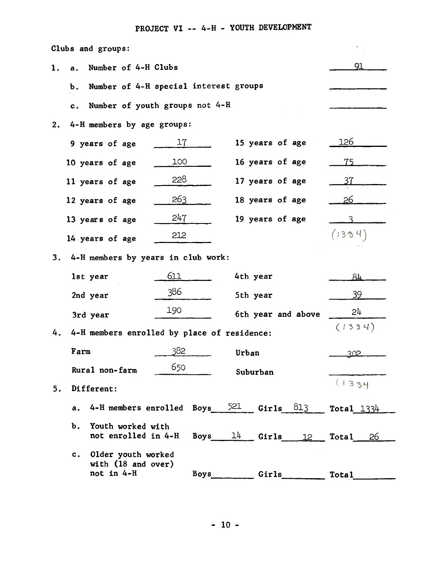## PROJECT VI -- 4-H - YOUTH DEVELOPMENT

| Clubs and groups:                                         |                                       |                          |              |
|-----------------------------------------------------------|---------------------------------------|--------------------------|--------------|
| Number of 4-H Clubs<br>ı.<br>а.                           |                                       |                          | 91           |
| b.                                                        | Number of 4-H special interest groups |                          |              |
| c.                                                        | Number of youth groups not 4-H        |                          |              |
| 4-H members by age groups:<br>2.                          |                                       |                          |              |
| 9 years of age                                            | 17                                    | 15 years of age          | 126          |
| 10 years of age                                           | 100                                   | 16 years of age          | 75           |
| 11 years of age                                           | 228                                   | 17 years of age          | 37           |
| 12 years of age                                           | <u>263</u>                            | 18 years of age          | 26           |
| 13 years of age                                           | 247                                   | 19 years of age          |              |
| 14 years of age                                           | 212                                   |                          | (1334)       |
| 3.<br>4-H members by years in club work:                  |                                       |                          |              |
| lst year                                                  | 611                                   | 4th year                 | 84           |
| 2nd year                                                  | 386                                   | 5th year                 | 39           |
| 3rd year                                                  | 190                                   | 6th year and above       | 24           |
| 4-H members enrolled by place of residence:<br>4.         |                                       |                          | (1334)       |
| Farm                                                      | 382                                   | Urban                    | 302          |
| Rural non-farm                                            | 650                                   | Suburban                 |              |
| Different:<br>5.                                          |                                       |                          | (1334        |
| 4-H members enrolled Boys<br>а.                           |                                       | $521$ Girls $813$        | Total $1334$ |
| Ъ.<br>Youth worked with<br>not enrolled in 4-H            |                                       | Boys $14$ Girls $12$     | Total 26     |
| c. Older youth worked<br>with (18 and over)<br>not in 4-H |                                       | Boys________Girls_______ | <b>Total</b> |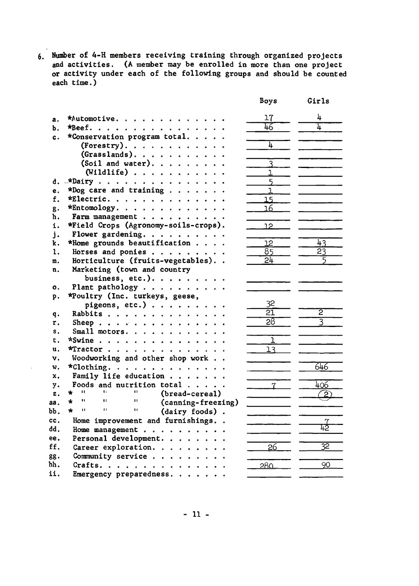6. Number of 4-H members receiving training through organized projects and activities. (A member may be enrolled in more than one project or activity under each of the following groups and should be counted each time.)

|          |                                                                                                                                                 | Boys                    | Girls           |
|----------|-------------------------------------------------------------------------------------------------------------------------------------------------|-------------------------|-----------------|
| а.       | *Automotive                                                                                                                                     | 17                      | 4               |
| Ъ.       | $*Beef.$                                                                                                                                        | 46                      | 1               |
| c.       | *Conservation program total                                                                                                                     |                         |                 |
|          | $(Forestry)$ .                                                                                                                                  | 'n.                     |                 |
|          | $(Grasslands)$ .                                                                                                                                |                         |                 |
|          | (Soil and water).                                                                                                                               | $\overline{\mathsf{3}}$ |                 |
|          | $(Willdlife)$                                                                                                                                   | 1                       |                 |
| d.       | $\star$ Dairy<br>$\ddot{\phantom{0}}$                                                                                                           | $\overline{5}$          |                 |
| e.       | *Dog care and training.<br>$\sim$<br>$\ddot{\phantom{0}}$                                                                                       | ı                       |                 |
| f.       | *Electric.                                                                                                                                      | 15                      |                 |
| g.       | $*$ Entomology.                                                                                                                                 | 16                      |                 |
| ħ.       | Farm management                                                                                                                                 |                         |                 |
| i.       | *Field Crops (Agronomy-soils-crops).                                                                                                            | 12                      |                 |
| i.       | Flower gardening.                                                                                                                               |                         |                 |
| k.       | *Home grounds beautification                                                                                                                    | 12                      | $\overline{4}3$ |
| 1.       | Horses and ponies                                                                                                                               | 85                      | $\overline{23}$ |
| m.       | Horticulture (fruits-vegetables)                                                                                                                | 24                      |                 |
| n.       | Marketing (town and country                                                                                                                     |                         |                 |
|          | business, etc.).                                                                                                                                |                         |                 |
| 0.       | Plant pathology                                                                                                                                 |                         |                 |
|          | *Poultry (Inc. turkeys, geese,                                                                                                                  |                         |                 |
| p.       | pigeons, etc.)                                                                                                                                  | 32                      |                 |
|          | Rabbits                                                                                                                                         | 21                      | $\overline{2}$  |
| q.<br>r. | $\bullet$                                                                                                                                       | $\overline{28}$         | $\overline{3}$  |
| s.       | Sheep.<br>$\bullet$<br>Small motors.                                                                                                            |                         |                 |
| t.       | $\ddot{\phantom{0}}$<br>$*$ Swine                                                                                                               | ı                       |                 |
| u.       |                                                                                                                                                 | 13                      |                 |
|          | $*$ Tractor<br>$\sim$                                                                                                                           |                         |                 |
| ν.       | Woodworking and other shop work                                                                                                                 |                         | 646             |
| w.       | *Clothing.                                                                                                                                      |                         |                 |
| X.       | Family life education                                                                                                                           |                         |                 |
| y.       | Foods and nutrition total $\ldots$ .<br>$\mathbf{u}$<br>Ħ.                                                                                      |                         | 406             |
| z.       | (bread-cereal)<br>Ħ<br>$\star$<br>Ħ<br>n                                                                                                        |                         |                 |
| aa.      | (canning-freezing)<br>n<br>Ħ<br>$\mathbf{H}$<br>$\star$                                                                                         |                         |                 |
| bb.      | (dairy foods).                                                                                                                                  |                         |                 |
| cc.      | Home improvement and furnishings                                                                                                                |                         | $\frac{7}{42}$  |
| dd.      | Home management                                                                                                                                 |                         |                 |
| ee.      | Personal development.                                                                                                                           |                         |                 |
| ff.      | Career exploration.                                                                                                                             | 26                      | 32              |
| 88.      | Community service                                                                                                                               |                         |                 |
| hh.      | $Crafts. \ldots$ .<br>$\begin{array}{cccccccccccccc} \bullet & \bullet & \bullet & \bullet & \bullet & \bullet & \bullet & \bullet \end{array}$ | 280                     | 90              |
| ii.      | Emergency preparedness<br>$\ddot{\phantom{1}}$                                                                                                  |                         |                 |

 $\bar{1}$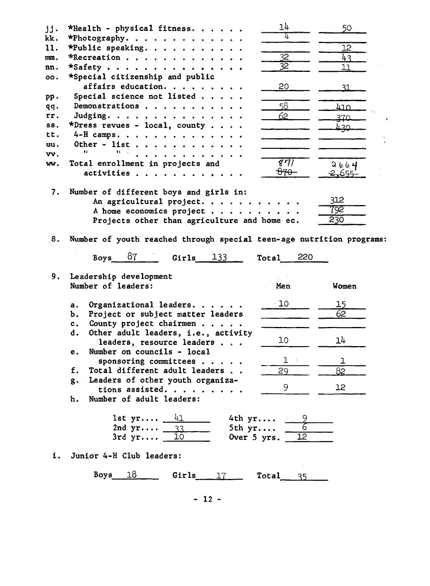| jj. | *Health - physical fitness.                                                                      | 14                | 50         |  |
|-----|--------------------------------------------------------------------------------------------------|-------------------|------------|--|
| kk. | *Photography.                                                                                    | 4                 |            |  |
| 11. | *Public speaking.                                                                                |                   | 12         |  |
| mm. | *Recreation                                                                                      | 32                | 43.        |  |
| nn. | $\star$ Safety                                                                                   | 32                | 11         |  |
| oo. | *Special citizenship and public                                                                  |                   |            |  |
|     | affairs education.                                                                               | 20                | 31         |  |
| pp. | Special science not listed                                                                       |                   |            |  |
| qq. | Demonstrations                                                                                   | 58                | <u>410</u> |  |
| rr. | Judging.                                                                                         | 62                |            |  |
| SS. |                                                                                                  |                   | 370        |  |
|     | *Dress revues - local, county                                                                    |                   | ∏ 3∪       |  |
| tt. | 4-H camps.                                                                                       |                   |            |  |
| uu. | Other - list<br>11                                                                               |                   |            |  |
| vv. |                                                                                                  |                   |            |  |
| wv. | Total enrollment in projects and                                                                 | $\sqrt{371}$      | 2664       |  |
|     | activities                                                                                       | ᠊ <del>ᢗ᠍ᡏᡐ</del> | 2,655      |  |
| 7.  | Number of different boys and girls in:<br>An agricultural project.                               |                   | 312        |  |
|     | A home economics project                                                                         |                   | 792        |  |
|     | Projects other than agriculture and home ec.                                                     |                   | 230        |  |
| 8.  | Number of youth reached through special teen-age nutrition programs:<br>Boys $87$<br>Girls $133$ | 220<br>Total      |            |  |
|     |                                                                                                  |                   |            |  |
| 9.  | Leadership development                                                                           |                   |            |  |
|     | Number of leaders:                                                                               | Men               | Women      |  |
|     |                                                                                                  |                   |            |  |
|     | а.                                                                                               | $\cdot$ 10        |            |  |
|     | Organizational leaders.                                                                          |                   | 15<br>62   |  |
|     | Project or subject matter leaders<br>b.<br>c.                                                    |                   |            |  |
|     | County project chairmen<br>d.                                                                    |                   |            |  |
|     | Other adult leaders, i.e., activity                                                              | 10                | 14         |  |
|     | leaders, resource leaders<br>е.                                                                  |                   |            |  |
|     | Number on councils - local                                                                       | J.                |            |  |
|     | sponsoring committees                                                                            |                   | ı          |  |
|     | Total different adult leaders<br>f.                                                              | 29                | 82         |  |
|     | Leaders of other youth organiza-<br>g٠                                                           | 9                 | 12         |  |
|     | tions assisted.                                                                                  |                   |            |  |
|     | Number of adult leaders:<br>h.                                                                   |                   |            |  |
|     | $1st$ yr $41$<br>4th yr<br>2nd $yr$ 33<br>5th $yr$<br>3rdyr<br>10<br>Over 5 yrs.                 |                   |            |  |
| i.  | Junior 4-H Club leaders:                                                                         |                   |            |  |
|     | 18<br>Boys<br>Girls $17 -$                                                                       | 35                |            |  |

 $\cdot$ 

 $\frac{1}{\sqrt{2}}$ 

- 12 -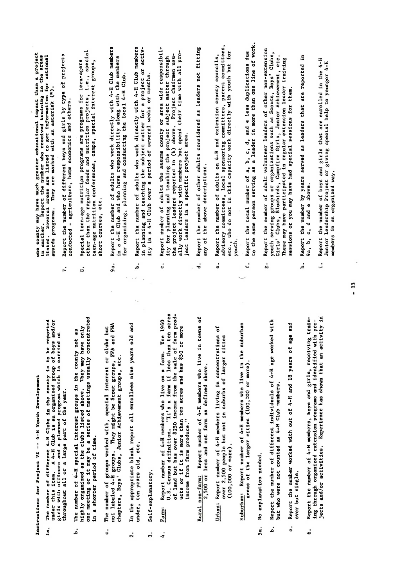Instructions for Project VI -- 4-H Youth Development

- The number of different 4-H Clubs in the county is to be reported<br>under this item. A 4-H Club is an organized group of boys and/or<br>girls with officers and a planned program which is carried on<br>throughout all or a large par 1.8.
- in a shorter period of time. .<br>م
- ċ.
- In the appropriate blank report all enrollees nine years old under, ten years old, etc.  $\overline{2}$ .
- Self-explanatory.  $\ddot{ }$
- ing through organized extension probability  $\begin{array}{ccc} a_1 & b_1 & b_2 \ b_2 & b_2 & b_3 \end{array}$ jects and/or activities. Experience has shown that an activity in income from farm produce." Farm:  $\ddot{ }$ 
	- 2,500 or less and not farm as defined above.
- Report number of 4-H members living in concentrations<br>over 2,500 people but not in suburbs of larger cities  $(100,000$  or more). Urban:

areas of the larger cities (100,000 or more).

- No explanation needed.  $5a.$
- but who were not counted as 4-H Club members. .<br>م
- and over but single. .<br>U
- Report the number of 4-H members, boys and girls, receiving traini. Report the number of boys and girls that are enrolled in the 4-H  $\alpha$ ing through organized extension programs and identified with pro-Ġ.

- 
- throughout a second term in the second second term in the second second term in the second second second secon<br>The second second second second second second second second second second second second second second second s  $\frac{1}{2}$  and  $\frac{1}{2}$  and  $\frac{1}{2}$  and  $\frac{1}{2}$  and  $\frac{1}{2}$  and  $\frac{1}{2}$  and  $\frac{1}{2}$  and  $\frac{1}{2}$  and  $\frac{1}{2}$  and  $\frac{1}{2}$  and  $\frac{1}{2}$  and  $\frac{1}{2}$  and  $\frac{1}{2}$  and  $\frac{1}{2}$  and  $\frac{1}{2}$  and  $\frac{1}{2}$  a under, ten years olde, etc.  $\frac{3}{2}$  see ERFIER  $\frac{3}{2}$
- short courses, etc.<br>Report the number of adults who work directly with 4-H Club member<br>in a 4-H Club and who have responsibility along with the members<br>for organizing, planning and conducting the local 4-H Club.
- ide at at at at

but who were not counted as  $4-4$  H  $\alpha$  members.

c. Report the number worked with out of 4-H and 18 years of age and 18 years of age and 18 years of age and 18 years of age and 18 years of age and 18 years of age and 18 years of age and 18 years of age and 18 years of ag

- under the this is and the third in the second group is an organized group of the boys and organized group of b<br>In the boys and organized group of boys and organized group of the second group of the second group of the seco girls with one and a planned program which is carried only a planned on the carried only and a planned only a p Report the number of adults who work directly with 4-H Club members<br>in planning and teaching the subject matter for a project or activ-<br>ity in a 4-H Club over a period of several weeks or months.<br>Report number of adults wh  $\mathbf{h}$  in the number of  $\mathbf{h}$  special interest groups in the county  $\mathbf{h}$  special interest groups in the county of a special interest group in the county of  $\mathbf{h}$ here as the clubs listed as the clubs listed as  $\frac{1}{2}$  may have only  $\frac{1}{2}$  may have only  $\frac{1}{2}$ one meeting or it may be a series of meeting or it may be a series of meeting usually concentrated by the seri<br>The concentrated with the series of meeting usually concentrated by the series of meeting of the series of the c. The number of groups with the number of groups with the number of groups with the special interest or clubs<br>Interest or clubs but but but the special interest of the special interest of the special interest of the spec  $\widetilde{r}$  labeled 4-H groups. They might be Scott and FHA and FHA and FHA and FHA and FHA and FHA and FHA and FHA and FHA and FHA and FHA and FHA and FHA and FHA and FHA and FHA and FHA and FHA and FHA and FHA and FHA and chapters, Boyster, Boyster, Junior Achievement groups, Junior Achievement groups, and achievement groups, and 2. In the appropriate blank report and all enrollees nine years of the anti-4. Farm: Report number of 4-H members who live on <sup>a</sup> farm. Use <sup>1960</sup> U.S. C. Census definition. "It's a farm if the farm if the farm if the farm if the second ten acres<br>The farm if the farm if the farm if the farm if the second ten acres to the farm if the farm if the second ten  $\frac{1}{2}$ g land but has over  $\frac{1}{2}$  income from the sale of farm produce  $\frac{1}{2}$  income farm produce  $\frac{1}{2}$ ucts or if it is more than that is more than the second ten acres and has a second ten acres and has a second <br>Second has the second has been acres and has been acres and has been acres and has been acres and has been acr Rural non-farming in the second in the second in the second in the second in the second in the second in the s 2,500 or less and not farm as defined above. �: Report number of 4-H members living in concentrations of over 2,500 people but not in substitution of the larger control in substitution of the larger control in subst<br>Substitution of the larger control in substitution of the larger control in substitution of the larger control Suburban: Report numbers who live in the subset of 4-H members who live in the subset of 4-H members who live are a reason of the larger cities  $\frac{1}{2}$ 
	-
- $\overline{H}$  and  $\overline{H}$  different  $\overline{H}$  of different  $\overline{H}$  of  $\overline{H}$  is to be reported to be reported to be reported to be reported to be reported to be reported to be reported to be reported to be reported to be re b. Report the number of different individuals of 4-H age worked with
- 
- Girls' Clubs, Bluebirds, Campfire Girls, Junior Achievement, etc. These may have participated in regular extension leader training sessions or you may have had special sessions for them.
- Report the number by years served as leaders that are reported in 9a, b, c, d and e above. .<br>غ
- Report the number of boys and girls that are enrolled in the 4-H  $\frac{1}{2}$ . Special terms are programs for terms for terms  $\frac{1}{2}$ 9a. Report the number of adults who work directly with 4-H Club members  $b.$  Report the numbers with  $\alpha$  with  $4-1$  club members with  $4-1$  $\alpha$  adults who assume county or area wide responsibility or area wide responsibility or area wide responsibility. ity for planning and teaching the project subject matter through  $\mathbf{a}_\mathbf{S}$  $\mathbb{R}$  $\overline{v}$ ect area. In a specific project area. In a specific project area. In a specific project area. In a specific project area. In a specific project area. In a specific project area. In a specific project area. In a sp  $\alpha$  report the number of other adults considered as leaders not fitting as leaders not fitting as leaders not fit any of the above descriptions.  $\mathbf{R}_{\mathbf{H}}$ e. Report the number of adults on  $4$ advisory committees, local sponsoring committees, parent committees, etc., who do not in this capacity with  $\alpha$ members in an organized way.  $R_{\rm eff}$  and  $R_{\rm eff}$  and  $R_{\rm eff}$ to the same per.son serving as <sup>a</sup> leader in more than one line of work. g. Report the number of adult volunteer leaders of other non-extension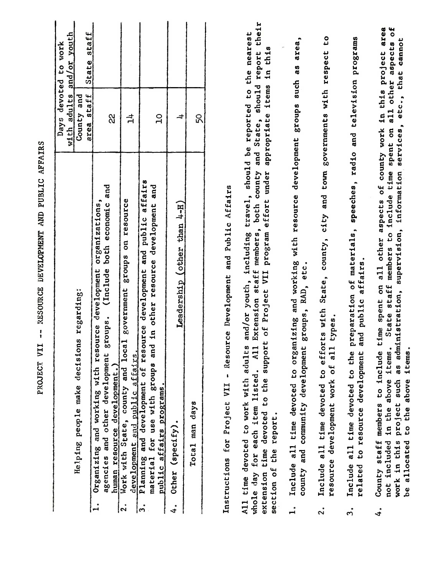|                                                                                                                                                                                                                                                                                                                                                | -- RESOURCE DEVELOPMENT AND PUBLIC AFFAIRS                    |                                                          |
|------------------------------------------------------------------------------------------------------------------------------------------------------------------------------------------------------------------------------------------------------------------------------------------------------------------------------------------------|---------------------------------------------------------------|----------------------------------------------------------|
| decisions regarding:<br>Helping people make                                                                                                                                                                                                                                                                                                    | devoted<br>adults<br>County and<br>area staff<br>Days<br>with | or youth<br>State staff<br>to work<br>$\frac{d}{d}$      |
| (Include both economic and<br>organizations,<br>Organizing and working with resource development<br>development groups.<br>and other<br>agencies<br>$\mathbf{L}$                                                                                                                                                                               | 2<br>2                                                        |                                                          |
| and local government groups on resource<br>fairs.<br>늽<br>human resource developmer<br>Work with State, county a<br>and public<br>development<br>$\overline{\mathsf{S}}$                                                                                                                                                                       | ᅻ                                                             |                                                          |
| of resource development and public affairs<br>and<br>and in other resource development<br>for use with groups<br>Planning and development<br>material for use with gro<br>affairs programs<br>pub <sub>11c</sub><br>ကြ $\cdot$                                                                                                                 | $\overline{a}$                                                |                                                          |
| Leadership (other than 4-H)<br>(specify).<br>Other<br>$\ddot{\bm{r}}$                                                                                                                                                                                                                                                                          | $\overline{\phantom{a}}$                                      |                                                          |
| Total man days                                                                                                                                                                                                                                                                                                                                 | 50                                                            |                                                          |
| - Resource Development and Public Affairs<br>Instructions for Project VII                                                                                                                                                                                                                                                                      |                                                               |                                                          |
| including travel, should be<br>county<br>effort under<br>both<br>Extension staff members,<br>program<br>support of Project VII<br>adults and/or youth,<br>A11<br>whole day for each item listed.<br>All time devoted to work with<br>time devoted to the<br>section of the report.<br>extension                                                | and State, should report<br>appropriate items<br>reported to  | their<br>the nearest<br>th <sub>1s</sub><br>$\mathbf{u}$ |
| to organizing and working with resource development<br>development groups, RAD, etc.<br>Include all time devoted<br>and community<br>county<br>$\mathbf{I}$                                                                                                                                                                                    | groups such                                                   | area,<br>as<br>                                          |
| to efforts with State, county, city and town governments with respect<br>all types.<br><b>u</b><br>resource development work<br>Include all time devoted<br>$\ddot{\sim}$                                                                                                                                                                      |                                                               | C <sub>0</sub>                                           |
| to the preparation of materials, speeches, radio and television programs<br>and public affairs.<br>development<br>Include all time devoted<br>to resource<br>related<br>$\ddot{ }$                                                                                                                                                             |                                                               |                                                          |
| County staff members to include time spent on all other aspects of county work in this project<br>spent on<br>time<br>information<br>to include<br>supervision,<br>staff members<br>as administration,<br>State<br>items.<br>items.<br>above<br>work in this project such<br>be allocated to the above<br>in the<br>not included<br>$\ddot{4}$ | services, etc., that<br>all other                             | $\mathfrak{c}$<br>area<br>cannot<br>aspects              |
|                                                                                                                                                                                                                                                                                                                                                |                                                               |                                                          |